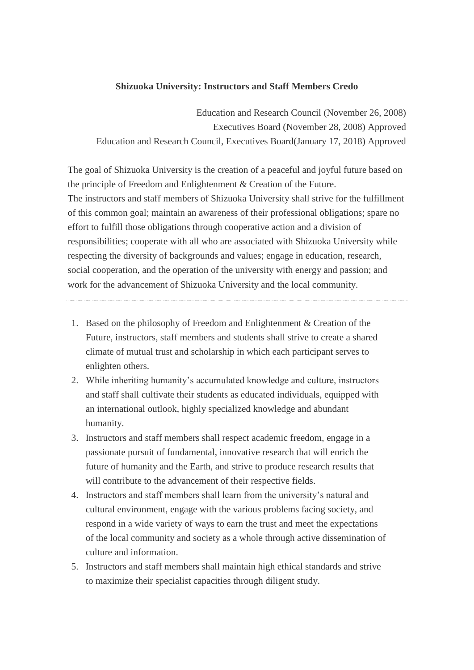## **Shizuoka University: Instructors and Staff Members Credo**

Education and Research Council (November 26, 2008) Executives Board (November 28, 2008) Approved Education and Research Council, Executives Board(January 17, 2018) Approved

The goal of Shizuoka University is the creation of a peaceful and joyful future based on the principle of Freedom and Enlightenment & Creation of the Future. The instructors and staff members of Shizuoka University shall strive for the fulfillment of this common goal; maintain an awareness of their professional obligations; spare no effort to fulfill those obligations through cooperative action and a division of responsibilities; cooperate with all who are associated with Shizuoka University while respecting the diversity of backgrounds and values; engage in education, research, social cooperation, and the operation of the university with energy and passion; and work for the advancement of Shizuoka University and the local community.

- 1. Based on the philosophy of Freedom and Enlightenment & Creation of the Future, instructors, staff members and students shall strive to create a shared climate of mutual trust and scholarship in which each participant serves to enlighten others.
- 2. While inheriting humanity's accumulated knowledge and culture, instructors and staff shall cultivate their students as educated individuals, equipped with an international outlook, highly specialized knowledge and abundant humanity.
- 3. Instructors and staff members shall respect academic freedom, engage in a passionate pursuit of fundamental, innovative research that will enrich the future of humanity and the Earth, and strive to produce research results that will contribute to the advancement of their respective fields.
- 4. Instructors and staff members shall learn from the university's natural and cultural environment, engage with the various problems facing society, and respond in a wide variety of ways to earn the trust and meet the expectations of the local community and society as a whole through active dissemination of culture and information.
- 5. Instructors and staff members shall maintain high ethical standards and strive to maximize their specialist capacities through diligent study.